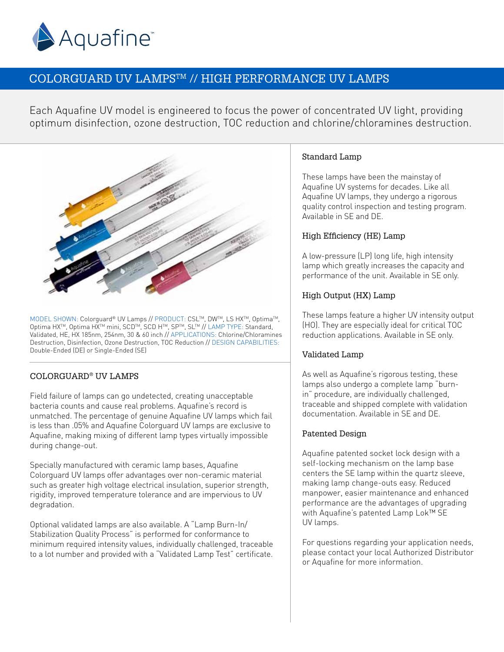

# COLORGUARD UV LAMPSTM // HIGH PERFORMANCE UV LAMPS

Each Aquafine UV model is engineered to focus the power of concentrated UV light, providing optimum disinfection, ozone destruction, TOC reduction and chlorine/chloramines destruction.



MODEL SHOWN: Colorguard® UV Lamps // PRODUCT: CSL™, DW™, LS HX™, Optima™, Optima HX™, Optima HX™ mini, SCD™, SCD H™, SP™, SL™ // LAMP TYPE: Standard, Validated, HE, HX 185nm, 254nm, 30 & 60 inch // APPLICATIONS: Chlorine/Chloramines Destruction, Disinfection, Ozone Destruction, TOC Reduction // DESIGN CAPABILITIES: Double-Ended (DE) or Single-Ended (SE)

## COLORGUARD® UV LAMPS

Field failure of lamps can go undetected, creating unacceptable bacteria counts and cause real problems. Aquafine's record is unmatched. The percentage of genuine Aquafine UV lamps which fail is less than .05% and Aquafine Colorguard UV lamps are exclusive to Aquafine, making mixing of different lamp types virtually impossible during change-out.

Specially manufactured with ceramic lamp bases, Aquafine Colorguard UV lamps offer advantages over non-ceramic material such as greater high voltage electrical insulation, superior strength, rigidity, improved temperature tolerance and are impervious to UV degradation.

Optional validated lamps are also available. A "Lamp Burn-In/ Stabilization Quality Process" is performed for conformance to minimum required intensity values, individually challenged, traceable to a lot number and provided with a "Validated Lamp Test" certificate.

#### Standard Lamp

These lamps have been the mainstay of Aquafine UV systems for decades. Like all Aquafine UV lamps, they undergo a rigorous quality control inspection and testing program. Available in SE and DE.

## High Efficiency (HE) Lamp

A low-pressure (LP) long life, high intensity lamp which greatly increases the capacity and performance of the unit. Available in SE only.

#### High Output (HX) Lamp

These lamps feature a higher UV intensity output (HO). They are especially ideal for critical TOC reduction applications. Available in SE only.

#### Validated Lamp

As well as Aquafine's rigorous testing, these lamps also undergo a complete lamp "burnin" procedure, are individually challenged, traceable and shipped complete with validation documentation. Available in SE and DE.

## Patented Design

Aquafine patented socket lock design with a self-locking mechanism on the lamp base centers the SE lamp within the quartz sleeve, making lamp change-outs easy. Reduced manpower, easier maintenance and enhanced performance are the advantages of upgrading with Aquafine's patented Lamp Lok™ SE UV lamps.

For questions regarding your application needs, please contact your local Authorized Distributor or Aquafine for more information.